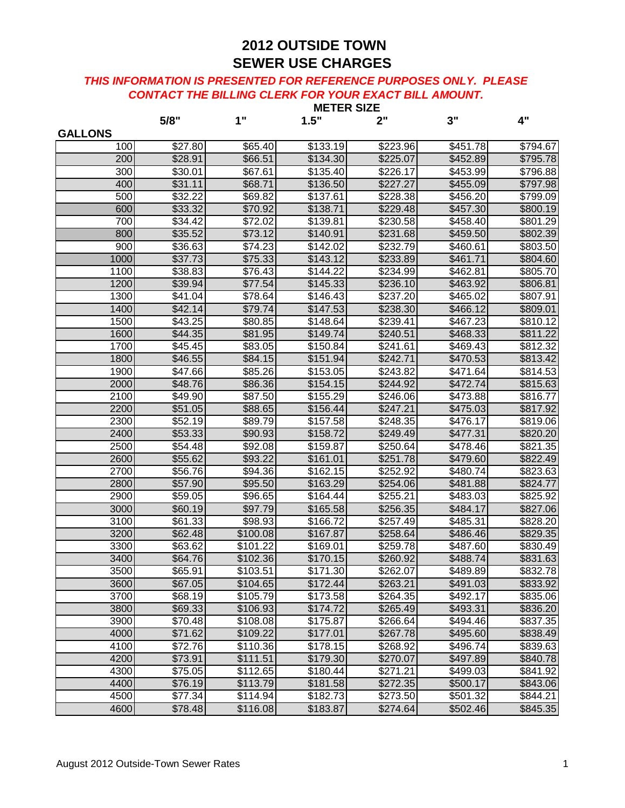|                |                     |                      |                      | <b>MEIER SIZE</b>    |                      |                      |
|----------------|---------------------|----------------------|----------------------|----------------------|----------------------|----------------------|
|                | 5/8"                | 1"                   | 1.5"                 | 2"                   | 3"                   | 4"                   |
| <b>GALLONS</b> |                     |                      |                      |                      |                      |                      |
| 100<br>200     | \$27.80<br>\$28.91  | \$65.40<br>\$66.51   | \$133.19<br>\$134.30 | \$223.96<br>\$225.07 | \$451.78<br>\$452.89 | \$794.67<br>\$795.78 |
| 300            | \$30.01             | \$67.61              | \$135.40             | \$226.17             | \$453.99             | \$796.88             |
| 400            | \$31.11             | \$68.71              | \$136.50             | \$227.27             | \$455.09             | \$797.98             |
| 500            | \$32.22             | \$69.82              | \$137.61             | \$228.38             | \$456.20             | \$799.09             |
| 600            | \$33.32             | \$70.92              | \$138.71             | \$229.48             | \$457.30             | \$800.19             |
| 700            | $\overline{$}34.42$ | \$72.02              | \$139.81             | \$230.58             | \$458.40             | \$801.29             |
| 800            | \$35.52             | \$73.12              | \$140.91             | \$231.68             | \$459.50             | \$802.39             |
| 900            | \$36.63             | \$74.23              | \$142.02             | \$232.79             | \$460.61             | \$803.50             |
| 1000           | \$37.73             | \$75.33              | \$143.12             | \$233.89             | \$461.71             | \$804.60             |
| 1100           | \$38.83             | \$76.43              | \$144.22             | \$234.99             | \$462.81             | \$805.70             |
| 1200           | \$39.94             | \$77.54              | \$145.33             | \$236.10             | \$463.92             | \$806.81             |
| 1300           | \$41.04             | \$78.64              | \$146.43             | \$237.20             | \$465.02             | \$807.91             |
| 1400           | \$42.14             | \$79.74              | \$147.53             | \$238.30             | \$466.12             | \$809.01             |
| 1500           | \$43.25             | \$80.85              | \$148.64             | \$239.41             | \$467.23             | \$810.12             |
| 1600           | \$44.35             | \$81.95              | \$149.74             | \$240.51             | \$468.33             | \$811.22             |
| 1700           | \$45.45             | \$83.05              | \$150.84             | \$241.61             | \$469.43             | \$812.32             |
| 1800           | \$46.55             | \$84.15              | \$151.94             | \$242.71             | \$470.53             | \$813.42             |
| 1900           | \$47.66             | \$85.26              | \$153.05             | \$243.82             | \$471.64             | \$814.53             |
| 2000           | \$48.76             | \$86.36              | \$154.15             | \$244.92             | \$472.74             | \$815.63             |
| 2100           | \$49.90             | \$87.50              | \$155.29             | \$246.06             | \$473.88             | \$816.77             |
| 2200           | \$51.05             | \$88.65              | \$156.44             | \$247.21             | \$475.03             | \$817.92             |
| 2300           | \$52.19             | \$89.79              | \$157.58             | \$248.35             | \$476.17             | \$819.06             |
| 2400           | \$53.33             | \$90.93              | \$158.72             | \$249.49             | \$477.31             | \$820.20             |
| 2500           | \$54.48             | \$92.08              | \$159.87             | \$250.64             | \$478.46             | \$821.35             |
| 2600           | \$55.62             | \$93.22              | \$161.01             | \$251.78             | \$479.60             | \$822.49             |
| 2700           | \$56.76             | \$94.36              | \$162.15             | \$252.92             | \$480.74             | \$823.63             |
| 2800           | \$57.90             | \$95.50              | \$163.29             | \$254.06             | \$481.88             | \$824.77             |
| 2900           | \$59.05             | \$96.65              | \$164.44             | \$255.21             | $\overline{$}483.03$ | \$825.92             |
| 3000           | \$60.19             | \$97.79              | \$165.58             | \$256.35             | \$484.17             | \$827.06             |
| 3100           | \$61.33             | \$98.93              | \$166.72             | \$257.49             | \$485.31             | \$828.20             |
| 3200           | \$62.48             | \$100.08             | \$167.87             | \$258.64             | \$486.46             | \$829.35             |
| 3300           | \$63.62             | \$101.22             | \$169.01             | \$259.78             | \$487.60             | \$830.49             |
| 3400           | \$64.76             | \$102.36             | \$170.15             | \$260.92             | \$488.74             | \$831.63             |
| 3500           | \$65.91             | \$103.51             | \$171.30             | \$262.07             | \$489.89             | \$832.78             |
| 3600           | \$67.05             | \$104.65             | \$172.44             | \$263.21             | \$491.03             | \$833.92             |
| 3700           | \$68.19             | $\overline{$}105.79$ | \$173.58             | \$264.35             | \$492.17             | \$835.06             |
| 3800           | \$69.33             | \$106.93             | \$174.72             | \$265.49             | \$493.31             | \$836.20             |
| 3900           | \$70.48             | \$108.08             | \$175.87             | \$266.64             | \$494.46             | \$837.35             |
| 4000           | \$71.62             | \$109.22             | \$177.01             | \$267.78             | \$495.60             | \$838.49             |
| 4100           | \$72.76             | \$110.36             | \$178.15             | \$268.92             | \$496.74             | \$839.63             |
| 4200           | \$73.91             | \$111.51             | \$179.30             | \$270.07             | \$497.89             | \$840.78             |
| 4300           | \$75.05             | \$112.65             | \$180.44             | \$271.21             | \$499.03             | \$841.92             |
| 4400           | \$76.19             | \$113.79             | \$181.58             | \$272.35             | \$500.17             | \$843.06             |
| 4500           | \$77.34             | \$114.94             | \$182.73             | \$273.50             | \$501.32             | \$844.21             |
| 4600           | \$78.48             | \$116.08             | \$183.87             | \$274.64             | \$502.46             | \$845.35             |
|                |                     |                      |                      |                      |                      |                      |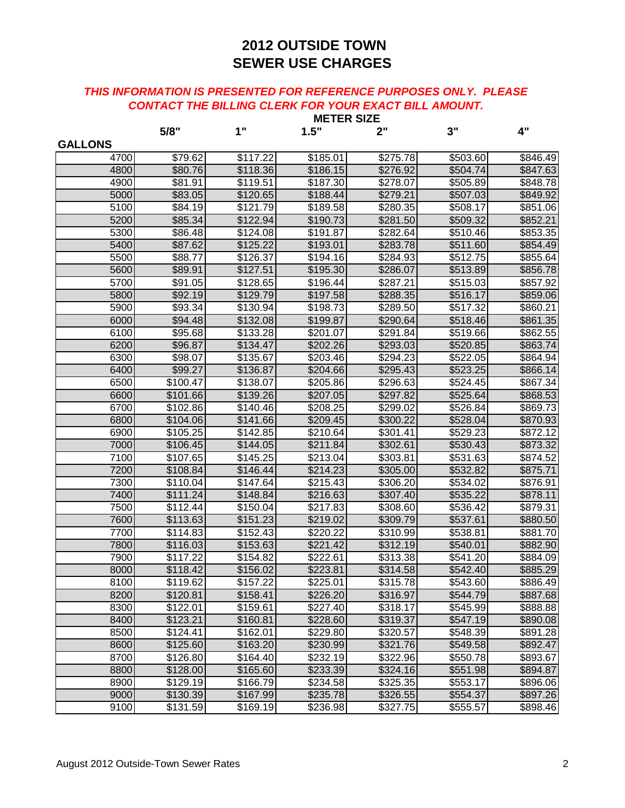|                | <b>METER SIZE</b>    |          |          |                      |          |          |
|----------------|----------------------|----------|----------|----------------------|----------|----------|
|                | 5/8"                 | 1"       | 1.5"     | 2"                   | 3"       | 4"       |
| <b>GALLONS</b> |                      |          |          |                      |          |          |
| 4700           | \$79.62              | \$117.22 | \$185.01 | \$275.78             | \$503.60 | \$846.49 |
| 4800           | \$80.76              | \$118.36 | \$186.15 | \$276.92             | \$504.74 | \$847.63 |
| 4900           | \$81.91              | \$119.51 | \$187.30 | \$278.07             | \$505.89 | \$848.78 |
| 5000           | \$83.05              | \$120.65 | \$188.44 | \$279.21             | \$507.03 | \$849.92 |
| 5100           | \$84.19              | \$121.79 | \$189.58 | \$280.35             | \$508.17 | \$851.06 |
| 5200           | \$85.34              | \$122.94 | \$190.73 | \$281.50             | \$509.32 | \$852.21 |
| 5300           | \$86.48              | \$124.08 | \$191.87 | \$282.64             | \$510.46 | \$853.35 |
| 5400           | \$87.62              | \$125.22 | \$193.01 | \$283.78             | \$511.60 | \$854.49 |
| 5500           | \$88.77              | \$126.37 | \$194.16 | \$284.93             | \$512.75 | \$855.64 |
| 5600           | \$89.91              | \$127.51 | \$195.30 | \$286.07             | \$513.89 | \$856.78 |
| 5700           | \$91.05              | \$128.65 | \$196.44 | $\overline{$}287.21$ | \$515.03 | \$857.92 |
| 5800           | \$92.19              | \$129.79 | \$197.58 | \$288.35             | \$516.17 | \$859.06 |
| 5900           | \$93.34              | \$130.94 | \$198.73 | \$289.50             | \$517.32 | \$860.21 |
| 6000           | \$94.48              | \$132.08 | \$199.87 | \$290.64             | \$518.46 | \$861.35 |
| 6100           | \$95.68              | \$133.28 | \$201.07 | \$291.84             | \$519.66 | \$862.55 |
| 6200           | \$96.87              | \$134.47 | \$202.26 | \$293.03             | \$520.85 | \$863.74 |
| 6300           | \$98.07              | \$135.67 | \$203.46 | \$294.23             | \$522.05 | \$864.94 |
| 6400           | \$99.27              | \$136.87 | \$204.66 | \$295.43             | \$523.25 | \$866.14 |
| 6500           | \$100.47             | \$138.07 | \$205.86 | \$296.63             | \$524.45 | \$867.34 |
| 6600           | \$101.66             | \$139.26 | \$207.05 | \$297.82             | \$525.64 | \$868.53 |
| 6700           | \$102.86             | \$140.46 | \$208.25 | \$299.02             | \$526.84 | \$869.73 |
| 6800           | \$104.06             | \$141.66 | \$209.45 | \$300.22             | \$528.04 | \$870.93 |
| 6900           | \$105.25             | \$142.85 | \$210.64 | \$301.41             | \$529.23 | \$872.12 |
| 7000           | \$106.45             | \$144.05 | \$211.84 | \$302.61             | \$530.43 | \$873.32 |
| 7100           | \$107.65             | \$145.25 | \$213.04 | \$303.81             | \$531.63 | \$874.52 |
| 7200           | \$108.84             | \$146.44 | \$214.23 | \$305.00             | \$532.82 | \$875.71 |
| 7300           | \$110.04             | \$147.64 | \$215.43 | \$306.20             | \$534.02 | \$876.91 |
| 7400           | \$111.24             | \$148.84 | \$216.63 | \$307.40             | \$535.22 | \$878.11 |
| 7500           | \$112.44             | \$150.04 | \$217.83 | \$308.60             | \$536.42 | \$879.31 |
| 7600           | \$113.63             | \$151.23 | \$219.02 | \$309.79             | \$537.61 | \$880.50 |
| 7700           | \$114.83             | \$152.43 | \$220.22 | \$310.99             | \$538.81 | \$881.70 |
| 7800           | \$116.03             | \$153.63 | \$221.42 | \$312.19             | \$540.01 | \$882.90 |
| 7900           | \$117.22             | \$154.82 | \$222.61 | \$313.38             | \$541.20 | \$884.09 |
| 8000           | \$118.42             | \$156.02 | \$223.81 | \$314.58             | \$542.40 | \$885.29 |
| 8100           | \$119.62             | \$157.22 | \$225.01 | \$315.78             | \$543.60 | \$886.49 |
| 8200           | \$120.81             | \$158.41 | \$226.20 | \$316.97             | \$544.79 | \$887.68 |
| 8300           | $\overline{$}122.01$ | \$159.61 | \$227.40 | \$318.17             | \$545.99 | \$888.88 |
| 8400           | \$123.21             | \$160.81 | \$228.60 | \$319.37             | \$547.19 | \$890.08 |
| 8500           | \$124.41             | \$162.01 | \$229.80 | \$320.57             | \$548.39 | \$891.28 |
| 8600           | \$125.60             | \$163.20 | \$230.99 | \$321.76             | \$549.58 | \$892.47 |
| 8700           | \$126.80             | \$164.40 | \$232.19 | \$322.96             | \$550.78 | \$893.67 |
| 8800           | \$128.00             | \$165.60 | \$233.39 | \$324.16             | \$551.98 | \$894.87 |
| 8900           | \$129.19             | \$166.79 | \$234.58 | \$325.35             | \$553.17 | \$896.06 |
| 9000           | \$130.39             | \$167.99 | \$235.78 | \$326.55             | \$554.37 | \$897.26 |
| 9100           | \$131.59             | \$169.19 | \$236.98 | \$327.75             | \$555.57 | \$898.46 |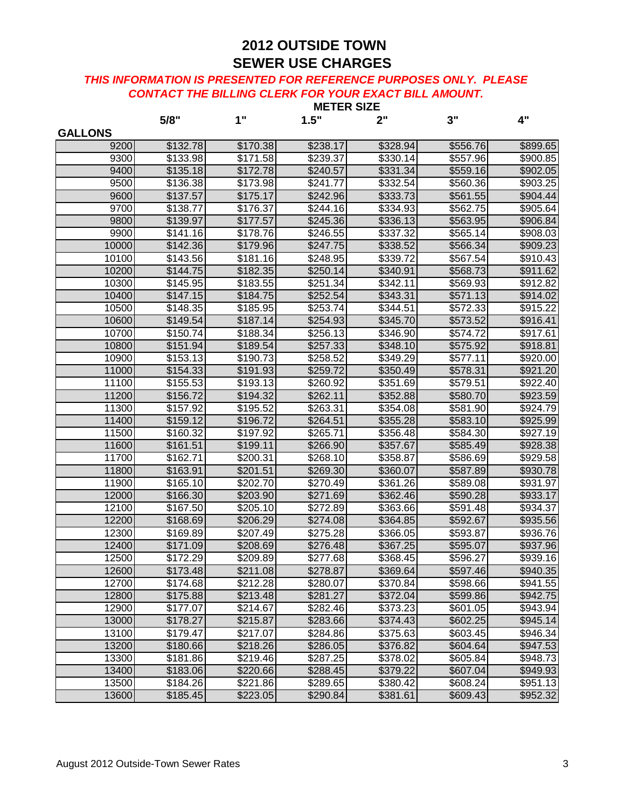|                | <b>METER SIZE</b>    |          |          |          |          |          |
|----------------|----------------------|----------|----------|----------|----------|----------|
|                | 5/8"                 | 1"       | 1.5"     | 2"       | 3"       | 4"       |
| <b>GALLONS</b> |                      |          |          |          |          |          |
| 9200           | \$132.78             | \$170.38 | \$238.17 | \$328.94 | \$556.76 | \$899.65 |
| 9300           | \$133.98             | \$171.58 | \$239.37 | \$330.14 | \$557.96 | \$900.85 |
| 9400           | \$135.18             | \$172.78 | \$240.57 | \$331.34 | \$559.16 | \$902.05 |
| 9500           | \$136.38             | \$173.98 | \$241.77 | \$332.54 | \$560.36 | \$903.25 |
| 9600           | \$137.57             | \$175.17 | \$242.96 | \$333.73 | \$561.55 | \$904.44 |
| 9700           | \$138.77             | \$176.37 | \$244.16 | \$334.93 | \$562.75 | \$905.64 |
| 9800           | \$139.97             | \$177.57 | \$245.36 | \$336.13 | \$563.95 | \$906.84 |
| 9900           | \$141.16             | \$178.76 | \$246.55 | \$337.32 | \$565.14 | \$908.03 |
| 10000          | \$142.36             | \$179.96 | \$247.75 | \$338.52 | \$566.34 | \$909.23 |
| 10100          | \$143.56             | \$181.16 | \$248.95 | \$339.72 | \$567.54 | \$910.43 |
| 10200          | \$144.75             | \$182.35 | \$250.14 | \$340.91 | \$568.73 | \$911.62 |
| 10300          | $\overline{$}145.95$ | \$183.55 | \$251.34 | \$342.11 | \$569.93 | \$912.82 |
| 10400          | \$147.15             | \$184.75 | \$252.54 | \$343.31 | \$571.13 | \$914.02 |
| 10500          | \$148.35             | \$185.95 | \$253.74 | \$344.51 | \$572.33 | \$915.22 |
| 10600          | \$149.54             | \$187.14 | \$254.93 | \$345.70 | \$573.52 | \$916.41 |
| 10700          | \$150.74             | \$188.34 | \$256.13 | \$346.90 | \$574.72 | \$917.61 |
| 10800          | \$151.94             | \$189.54 | \$257.33 | \$348.10 | \$575.92 | \$918.81 |
| 10900          | \$153.13             | \$190.73 | \$258.52 | \$349.29 | \$577.11 | \$920.00 |
| 11000          | \$154.33             | \$191.93 | \$259.72 | \$350.49 | \$578.31 | \$921.20 |
| 11100          | \$155.53             | \$193.13 | \$260.92 | \$351.69 | \$579.51 | \$922.40 |
| 11200          | \$156.72             | \$194.32 | \$262.11 | \$352.88 | \$580.70 | \$923.59 |
| 11300          | \$157.92             | \$195.52 | \$263.31 | \$354.08 | \$581.90 | \$924.79 |
| 11400          | \$159.12             | \$196.72 | \$264.51 | \$355.28 | \$583.10 | \$925.99 |
| 11500          | \$160.32             | \$197.92 | \$265.71 | \$356.48 | \$584.30 | \$927.19 |
| 11600          | \$161.51             | \$199.11 | \$266.90 | \$357.67 | \$585.49 | \$928.38 |
| 11700          | \$162.71             | \$200.31 | \$268.10 | \$358.87 | \$586.69 | \$929.58 |
| 11800          | \$163.91             | \$201.51 | \$269.30 | \$360.07 | \$587.89 | \$930.78 |
| 11900          | $\overline{$}165.10$ | \$202.70 | \$270.49 | \$361.26 | \$589.08 | \$931.97 |
| 12000          | \$166.30             | \$203.90 | \$271.69 | \$362.46 | \$590.28 | \$933.17 |
| 12100          | \$167.50             | \$205.10 | \$272.89 | \$363.66 | \$591.48 | \$934.37 |
| 12200          | \$168.69             | \$206.29 | \$274.08 | \$364.85 | \$592.67 | \$935.56 |
| 12300          | \$169.89             | \$207.49 | \$275.28 | \$366.05 | \$593.87 | \$936.76 |
| 12400          | \$171.09             | \$208.69 | \$276.48 | \$367.25 | \$595.07 | \$937.96 |
| 12500          | \$172.29             | \$209.89 | \$277.68 | \$368.45 | \$596.27 | \$939.16 |
| 12600          | \$173.48             | \$211.08 | \$278.87 | \$369.64 | \$597.46 | \$940.35 |
| 12700          | \$174.68             | \$212.28 | \$280.07 | \$370.84 | \$598.66 | \$941.55 |
| 12800          | \$175.88             | \$213.48 | \$281.27 | \$372.04 | \$599.86 | \$942.75 |
| 12900          | \$177.07             | \$214.67 | \$282.46 | \$373.23 | \$601.05 | \$943.94 |
| 13000          | \$178.27             | \$215.87 | \$283.66 | \$374.43 | \$602.25 | \$945.14 |
| 13100          | \$179.47             | \$217.07 | \$284.86 | \$375.63 | \$603.45 | \$946.34 |
| 13200          | \$180.66             | \$218.26 | \$286.05 | \$376.82 | \$604.64 | \$947.53 |
| 13300          | \$181.86             | \$219.46 | \$287.25 | \$378.02 | \$605.84 | \$948.73 |
| 13400          | \$183.06             | \$220.66 | \$288.45 | \$379.22 | \$607.04 | \$949.93 |
| 13500          | \$184.26             | \$221.86 | \$289.65 | \$380.42 | \$608.24 | \$951.13 |
| 13600          | \$185.45             | \$223.05 | \$290.84 | \$381.61 | \$609.43 | \$952.32 |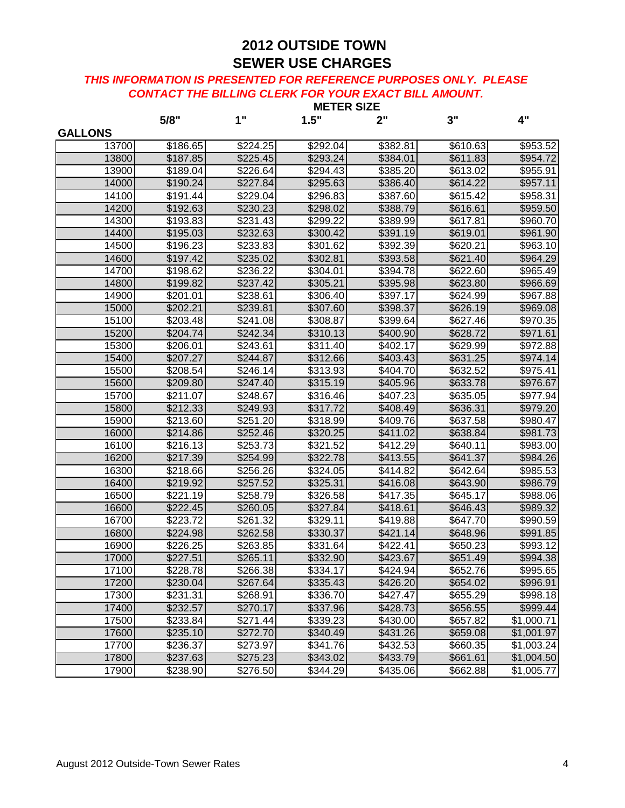|                | <b>METER SIZE</b> |                      |          |                      |                      |            |  |
|----------------|-------------------|----------------------|----------|----------------------|----------------------|------------|--|
|                | 5/8"              | 1"                   | 1.5"     | 2"                   | 3"                   | 4"         |  |
| <b>GALLONS</b> |                   |                      |          |                      |                      |            |  |
| 13700          | \$186.65          | \$224.25             | \$292.04 | \$382.81             | \$610.63             | \$953.52   |  |
| 13800          | \$187.85          | \$225.45             | \$293.24 | \$384.01             | \$611.83             | \$954.72   |  |
| 13900          | \$189.04          | \$226.64             | \$294.43 | \$385.20             | $\overline{$}613.02$ | \$955.91   |  |
| 14000          | \$190.24          | \$227.84             | \$295.63 | \$386.40             | \$614.22             | \$957.11   |  |
| 14100          | \$191.44          | \$229.04             | \$296.83 | \$387.60             | \$615.42             | \$958.31   |  |
| 14200          | \$192.63          | \$230.23             | \$298.02 | \$388.79             | \$616.61             | \$959.50   |  |
| 14300          | \$193.83          | \$231.43             | \$299.22 | \$389.99             | \$617.81             | \$960.70   |  |
| 14400          | \$195.03          | \$232.63             | \$300.42 | \$391.19             | \$619.01             | \$961.90   |  |
| 14500          | \$196.23          | \$233.83             | \$301.62 | \$392.39             | $\overline{$}620.21$ | \$963.10   |  |
| 14600          | \$197.42          | \$235.02             | \$302.81 | \$393.58             | \$621.40             | \$964.29   |  |
| 14700          | \$198.62          | \$236.22             | \$304.01 | \$394.78             | \$622.60             | \$965.49   |  |
| 14800          | \$199.82          | \$237.42             | \$305.21 | \$395.98             | \$623.80             | \$966.69   |  |
| 14900          | \$201.01          | \$238.61             | \$306.40 | \$397.17             | \$624.99             | \$967.88   |  |
| 15000          | \$202.21          | \$239.81             | \$307.60 | \$398.37             | \$626.19             | \$969.08   |  |
| 15100          | \$203.48          | \$241.08             | \$308.87 | \$399.64             | \$627.46             | \$970.35   |  |
| 15200          | \$204.74          | \$242.34             | \$310.13 | \$400.90             | \$628.72             | \$971.61   |  |
| 15300          | \$206.01          | $\overline{$}243.61$ | \$311.40 | \$402.17             | \$629.99             | \$972.88   |  |
| 15400          | \$207.27          | \$244.87             | \$312.66 | \$403.43             | \$631.25             | \$974.14   |  |
| 15500          | \$208.54          | \$246.14             | \$313.93 | \$404.70             | \$632.52             | \$975.41   |  |
| 15600          | \$209.80          | \$247.40             | \$315.19 | \$405.96             | \$633.78             | \$976.67   |  |
| 15700          | \$211.07          | \$248.67             | \$316.46 | \$407.23             | \$635.05             | \$977.94   |  |
| 15800          | \$212.33          | \$249.93             | \$317.72 | \$408.49             | \$636.31             | \$979.20   |  |
| 15900          | \$213.60          | \$251.20             | \$318.99 | \$409.76             | \$637.58             | \$980.47   |  |
| 16000          | \$214.86          | \$252.46             | \$320.25 | \$411.02             | \$638.84             | \$981.73   |  |
| 16100          | \$216.13          | \$253.73             | \$321.52 | \$412.29             | \$640.11             | \$983.00   |  |
| 16200          | \$217.39          | \$254.99             | \$322.78 | \$413.55             | \$641.37             | \$984.26   |  |
| 16300          | \$218.66          | \$256.26             | \$324.05 | \$414.82             | \$642.64             | \$985.53   |  |
| 16400          | \$219.92          | \$257.52             | \$325.31 | \$416.08             | \$643.90             | \$986.79   |  |
| 16500          | \$221.19          | \$258.79             | \$326.58 | \$417.35             | \$645.17             | \$988.06   |  |
| 16600          | \$222.45          | \$260.05             | \$327.84 | $\overline{$}418.61$ | \$646.43             | \$989.32   |  |
| 16700          | \$223.72          | \$261.32             | \$329.11 | \$419.88             | \$647.70             | \$990.59   |  |
| 16800          | \$224.98          | \$262.58             | \$330.37 | \$421.14             | \$648.96             | \$991.85   |  |
| 16900          | \$226.25          | \$263.85             | \$331.64 | \$422.41             | \$650.23             | \$993.12   |  |
| 17000          | \$227.51          | \$265.11             | \$332.90 | \$423.67             | \$651.49             | \$994.38   |  |
| 17100          | \$228.78          | \$266.38             | \$334.17 | \$424.94             | \$652.76             | \$995.65   |  |
| 17200          | \$230.04          | \$267.64             | \$335.43 | $\sqrt{$426.20}$     | \$654.02             | \$996.91   |  |
| 17300          | \$231.31          | \$268.91             | \$336.70 | \$427.47             | \$655.29             | \$998.18   |  |
| 17400          | \$232.57          | \$270.17             | \$337.96 | \$428.73             | \$656.55             | \$999.44   |  |
| 17500          | \$233.84          | \$271.44             | \$339.23 | \$430.00             | \$657.82             | \$1,000.71 |  |
| 17600          | \$235.10          | \$272.70             | \$340.49 | \$431.26             | \$659.08             | \$1,001.97 |  |
| 17700          | \$236.37          | \$273.97             | \$341.76 | \$432.53             | \$660.35             | \$1,003.24 |  |
| 17800          | \$237.63          | \$275.23             | \$343.02 | \$433.79             | \$661.61             | \$1,004.50 |  |
| 17900          | \$238.90          | \$276.50             | \$344.29 | \$435.06             | \$662.88             | \$1,005.77 |  |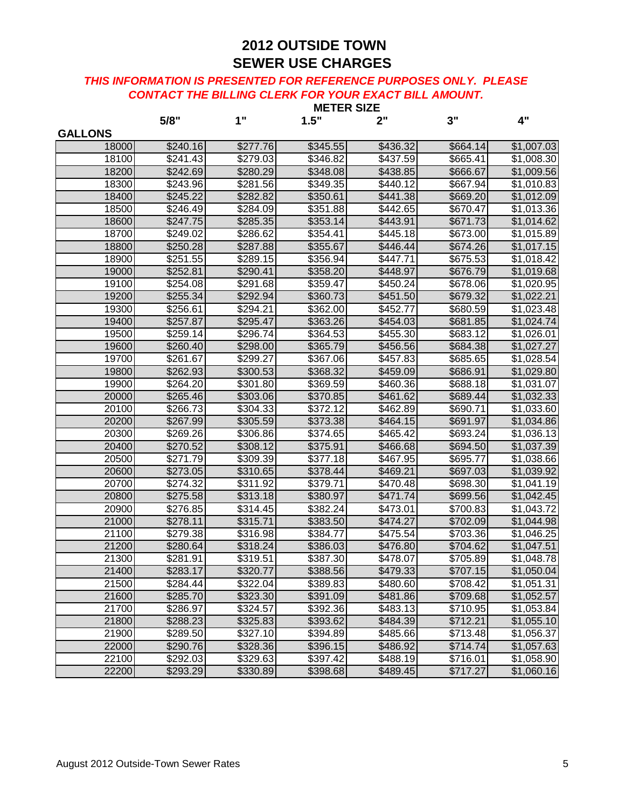|                | 5/8"     | 1"       | 1.5"     | 2"       | 3"                   | 4"         |
|----------------|----------|----------|----------|----------|----------------------|------------|
| <b>GALLONS</b> |          |          |          |          |                      |            |
| 18000          | \$240.16 | \$277.76 | \$345.55 | \$436.32 | \$664.14             | \$1,007.03 |
| 18100          | \$241.43 | \$279.03 | \$346.82 | \$437.59 | \$665.41             | \$1,008.30 |
| 18200          | \$242.69 | \$280.29 | \$348.08 | \$438.85 | \$666.67             | \$1,009.56 |
| 18300          | \$243.96 | \$281.56 | \$349.35 | \$440.12 | \$667.94             | \$1,010.83 |
| 18400          | \$245.22 | \$282.82 | \$350.61 | \$441.38 | \$669.20             | \$1,012.09 |
| 18500          | \$246.49 | \$284.09 | \$351.88 | \$442.65 | \$670.47             | \$1,013.36 |
| 18600          | \$247.75 | \$285.35 | \$353.14 | \$443.91 | \$671.73             | \$1,014.62 |
| 18700          | \$249.02 | \$286.62 | \$354.41 | \$445.18 | \$673.00             | \$1,015.89 |
| 18800          | \$250.28 | \$287.88 | \$355.67 | \$446.44 | \$674.26             | \$1,017.15 |
| 18900          | \$251.55 | \$289.15 | \$356.94 | \$447.71 | \$675.53             | \$1,018.42 |
| 19000          | \$252.81 | \$290.41 | \$358.20 | \$448.97 | \$676.79             | \$1,019.68 |
| 19100          | \$254.08 | \$291.68 | \$359.47 | \$450.24 | \$678.06             | \$1,020.95 |
| 19200          | \$255.34 | \$292.94 | \$360.73 | \$451.50 | \$679.32             | \$1,022.21 |
| 19300          | \$256.61 | \$294.21 | \$362.00 | \$452.77 | \$680.59             | \$1,023.48 |
| 19400          | \$257.87 | \$295.47 | \$363.26 | \$454.03 | \$681.85             | \$1,024.74 |
| 19500          | \$259.14 | 3296.74  | \$364.53 | \$455.30 | \$683.12             | \$1,026.01 |
| 19600          | \$260.40 | \$298.00 | \$365.79 | \$456.56 | \$684.38             | \$1,027.27 |
| 19700          | \$261.67 | \$299.27 | \$367.06 | \$457.83 | \$685.65             | \$1,028.54 |
| 19800          | \$262.93 | \$300.53 | \$368.32 | \$459.09 | \$686.91             | \$1,029.80 |
| 19900          | \$264.20 | \$301.80 | \$369.59 | \$460.36 | \$688.18             | \$1,031.07 |
| 20000          | \$265.46 | \$303.06 | \$370.85 | \$461.62 | \$689.44             | \$1,032.33 |
| 20100          | \$266.73 | \$304.33 | \$372.12 | \$462.89 | \$690.71             | \$1,033.60 |
| 20200          | \$267.99 | \$305.59 | \$373.38 | \$464.15 | \$691.97             | \$1,034.86 |
| 20300          | \$269.26 | \$306.86 | \$374.65 | \$465.42 | \$693.24             | \$1,036.13 |
| 20400          | \$270.52 | \$308.12 | \$375.91 | \$466.68 | \$694.50             | \$1,037.39 |
| 20500          | \$271.79 | \$309.39 | \$377.18 | \$467.95 | \$695.77             | \$1,038.66 |
| 20600          | \$273.05 | \$310.65 | \$378.44 | \$469.21 | \$697.03             | \$1,039.92 |
| 20700          | \$274.32 | \$311.92 | \$379.71 | \$470.48 | \$698.30             | \$1,041.19 |
| 20800          | \$275.58 | \$313.18 | \$380.97 | \$471.74 | \$699.56             | \$1,042.45 |
| 20900          | \$276.85 | \$314.45 | \$382.24 | \$473.01 | \$700.83             | \$1,043.72 |
| 21000          | \$278.11 | \$315.71 | \$383.50 | \$474.27 | \$702.09             | \$1,044.98 |
| 21100          | \$279.38 | \$316.98 | \$384.77 | \$475.54 | \$703.36             | \$1,046.25 |
| 21200          | \$280.64 | \$318.24 | \$386.03 | \$476.80 | \$704.62             | \$1,047.51 |
| 21300          | \$281.91 | \$319.51 | \$387.30 | \$478.07 | \$705.89             | \$1,048.78 |
| 21400          | \$283.17 | \$320.77 | \$388.56 | \$479.33 | \$707.15             | \$1,050.04 |
| 21500          | \$284.44 | \$322.04 | \$389.83 | \$480.60 | $\overline{$}708.42$ | \$1,051.31 |
| 21600          | \$285.70 | \$323.30 | \$391.09 | \$481.86 | \$709.68             | \$1,052.57 |
| 21700          | \$286.97 | \$324.57 | \$392.36 | \$483.13 | \$710.95             | \$1,053.84 |
| 21800          | \$288.23 | \$325.83 | \$393.62 | \$484.39 | \$712.21             | \$1,055.10 |
| 21900          | \$289.50 | \$327.10 | \$394.89 | \$485.66 | \$713.48             | \$1,056.37 |
| 22000          | \$290.76 | \$328.36 | \$396.15 | \$486.92 | \$714.74             | \$1,057.63 |
| 22100          | \$292.03 | \$329.63 | \$397.42 | \$488.19 | \$716.01             | \$1,058.90 |
| 22200          | \$293.29 | \$330.89 | \$398.68 | \$489.45 | \$717.27             | \$1,060.16 |